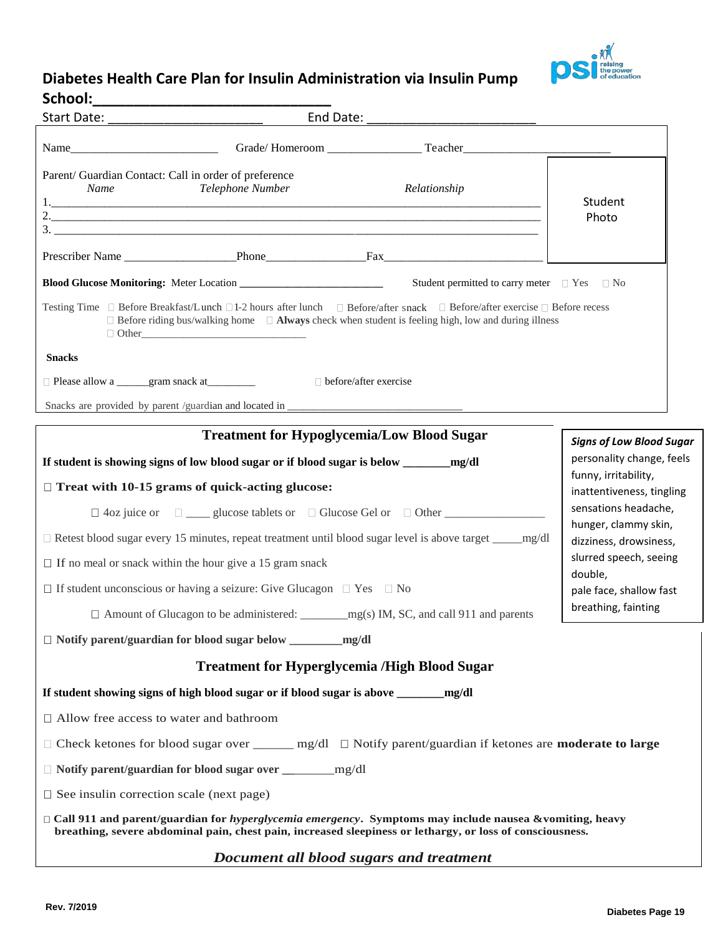

## **Diabetes Health Care Plan for Insulin Administration via Insulin Pump**

| School:                                                       |                                                                                                      |                                                                                                                                                                                                                                                    |                                                   |  |  |
|---------------------------------------------------------------|------------------------------------------------------------------------------------------------------|----------------------------------------------------------------------------------------------------------------------------------------------------------------------------------------------------------------------------------------------------|---------------------------------------------------|--|--|
|                                                               |                                                                                                      |                                                                                                                                                                                                                                                    |                                                   |  |  |
|                                                               |                                                                                                      |                                                                                                                                                                                                                                                    |                                                   |  |  |
| Parent/ Guardian Contact: Call in order of preference<br>Name | Telephone Number                                                                                     | Relationship                                                                                                                                                                                                                                       | Student                                           |  |  |
|                                                               |                                                                                                      | $\frac{1}{2}$                                                                                                                                                                                                                                      | Photo                                             |  |  |
|                                                               |                                                                                                      |                                                                                                                                                                                                                                                    |                                                   |  |  |
|                                                               |                                                                                                      | Student permitted to carry meter $\Box$ Yes $\Box$ No                                                                                                                                                                                              |                                                   |  |  |
|                                                               |                                                                                                      | Testing Time □ Before Breakfast/Lunch □1-2 hours after lunch □ Before/after snack □ Before/after exercise □ Before recess<br>$\Box$ Before riding bus/walking home $\Box$ <b>Always</b> check when student is feeling high, low and during illness |                                                   |  |  |
| <b>Snacks</b>                                                 |                                                                                                      |                                                                                                                                                                                                                                                    |                                                   |  |  |
|                                                               |                                                                                                      |                                                                                                                                                                                                                                                    |                                                   |  |  |
|                                                               |                                                                                                      |                                                                                                                                                                                                                                                    |                                                   |  |  |
|                                                               | <b>Treatment for Hypoglycemia/Low Blood Sugar</b>                                                    |                                                                                                                                                                                                                                                    | <b>Signs of Low Blood Sugar</b>                   |  |  |
|                                                               |                                                                                                      |                                                                                                                                                                                                                                                    | personality change, feels                         |  |  |
| $\Box$ Treat with 10-15 grams of quick-acting glucose:        |                                                                                                      |                                                                                                                                                                                                                                                    | funny, irritability,<br>inattentiveness, tingling |  |  |
|                                                               |                                                                                                      | $\Box$ 4oz juice or $\Box$ glucose tablets or $\Box$ Glucose Gel or $\Box$ Other                                                                                                                                                                   | sensations headache,                              |  |  |
|                                                               |                                                                                                      |                                                                                                                                                                                                                                                    | hunger, clammy skin,<br>dizziness, drowsiness,    |  |  |
|                                                               | slurred speech, seeing<br>$\Box$ If no meal or snack within the hour give a 15 gram snack<br>double, |                                                                                                                                                                                                                                                    |                                                   |  |  |
|                                                               | $\Box$ If student unconscious or having a seizure: Give Glucagon $\Box$ Yes $\Box$ No                |                                                                                                                                                                                                                                                    | pale face, shallow fast                           |  |  |
|                                                               |                                                                                                      |                                                                                                                                                                                                                                                    | breathing, fainting                               |  |  |
|                                                               |                                                                                                      |                                                                                                                                                                                                                                                    |                                                   |  |  |
|                                                               | <b>Treatment for Hyperglycemia /High Blood Sugar</b>                                                 |                                                                                                                                                                                                                                                    |                                                   |  |  |
|                                                               | If student showing signs of high blood sugar or if blood sugar is above ______                       | mg/dl                                                                                                                                                                                                                                              |                                                   |  |  |
| □ Allow free access to water and bathroom                     |                                                                                                      |                                                                                                                                                                                                                                                    |                                                   |  |  |
|                                                               |                                                                                                      | $\Box$ Check ketones for blood sugar over ______ mg/dl $\Box$ Notify parent/guardian if ketones are <b>moderate to large</b>                                                                                                                       |                                                   |  |  |
|                                                               |                                                                                                      |                                                                                                                                                                                                                                                    |                                                   |  |  |
| $\Box$ See insulin correction scale (next page)               |                                                                                                      |                                                                                                                                                                                                                                                    |                                                   |  |  |
|                                                               |                                                                                                      | $\Box$ Call 911 and parent/guardian for hyperglycemia emergency. Symptoms may include nausea &vomiting, heavy<br>breathing, severe abdominal pain, chest pain, increased sleepiness or lethargy, or loss of consciousness.                         |                                                   |  |  |
|                                                               | Document all blood sugars and treatment                                                              |                                                                                                                                                                                                                                                    |                                                   |  |  |